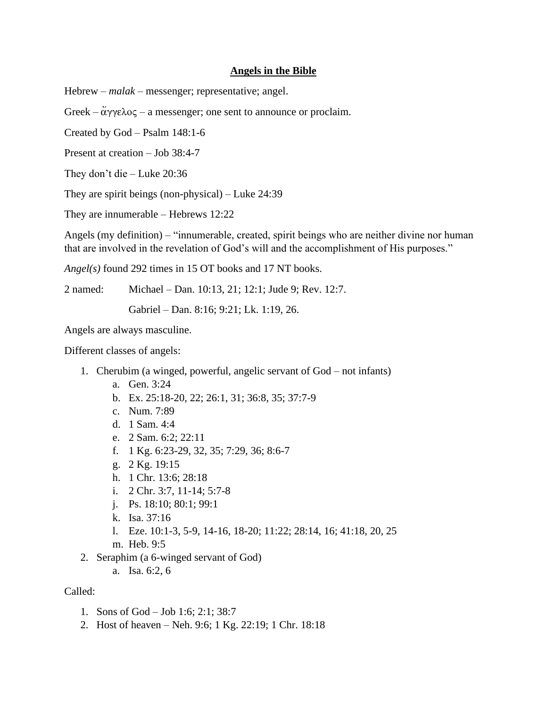## **Angels in the Bible**

Hebrew – *malak* – messenger; representative; angel.

Greek –  $\ddot{\alpha}$  $\gamma\gamma\epsilon\lambda$  os – a messenger; one sent to announce or proclaim.

Created by God – Psalm 148:1-6

Present at creation – Job 38:4-7

They don't die – Luke 20:36

They are spirit beings (non-physical) – Luke 24:39

They are innumerable – Hebrews 12:22

Angels (my definition) – "innumerable, created, spirit beings who are neither divine nor human that are involved in the revelation of God's will and the accomplishment of His purposes."

*Angel(s)* found 292 times in 15 OT books and 17 NT books.

2 named: Michael – Dan. 10:13, 21; 12:1; Jude 9; Rev. 12:7.

Gabriel – Dan. 8:16; 9:21; Lk. 1:19, 26.

Angels are always masculine.

Different classes of angels:

- 1. Cherubim (a winged, powerful, angelic servant of God not infants)
	- a. Gen. 3:24
	- b. Ex. 25:18-20, 22; 26:1, 31; 36:8, 35; 37:7-9
	- c. Num. 7:89
	- d. 1 Sam. 4:4
	- e. 2 Sam. 6:2; 22:11
	- f. 1 Kg. 6:23-29, 32, 35; 7:29, 36; 8:6-7
	- g. 2 Kg. 19:15
	- h. 1 Chr. 13:6; 28:18
	- i. 2 Chr. 3:7, 11-14; 5:7-8
	- j. Ps. 18:10; 80:1; 99:1
	- k. Isa. 37:16
	- l. Eze. 10:1-3, 5-9, 14-16, 18-20; 11:22; 28:14, 16; 41:18, 20, 25
	- m. Heb. 9:5
- 2. Seraphim (a 6-winged servant of God)
	- a. Isa. 6:2, 6

# Called:

- 1. Sons of God Job 1:6; 2:1; 38:7
- 2. Host of heaven Neh. 9:6; 1 Kg. 22:19; 1 Chr. 18:18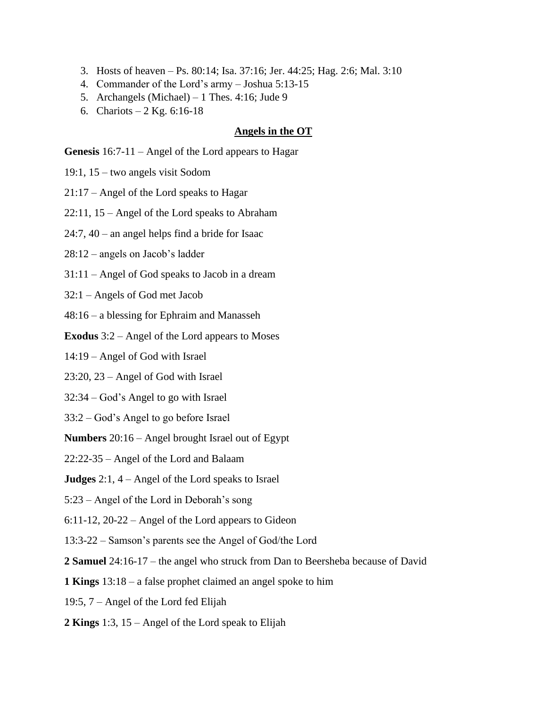- 3. Hosts of heaven Ps. 80:14; Isa. 37:16; Jer. 44:25; Hag. 2:6; Mal. 3:10
- 4. Commander of the Lord's army Joshua 5:13-15
- 5. Archangels (Michael) 1 Thes. 4:16; Jude 9
- 6. Chariots 2 Kg.  $6:16-18$

#### **Angels in the OT**

**Genesis** 16:7-11 – Angel of the Lord appears to Hagar

- 19:1, 15 two angels visit Sodom
- 21:17 Angel of the Lord speaks to Hagar

22:11, 15 – Angel of the Lord speaks to Abraham

24:7, 40 – an angel helps find a bride for Isaac

28:12 – angels on Jacob's ladder

31:11 – Angel of God speaks to Jacob in a dream

32:1 – Angels of God met Jacob

48:16 – a blessing for Ephraim and Manasseh

**Exodus** 3:2 – Angel of the Lord appears to Moses

14:19 – Angel of God with Israel

23:20, 23 – Angel of God with Israel

32:34 – God's Angel to go with Israel

33:2 – God's Angel to go before Israel

**Numbers** 20:16 – Angel brought Israel out of Egypt

22:22-35 – Angel of the Lord and Balaam

**Judges** 2:1, 4 – Angel of the Lord speaks to Israel

5:23 – Angel of the Lord in Deborah's song

6:11-12, 20-22 – Angel of the Lord appears to Gideon

13:3-22 – Samson's parents see the Angel of God/the Lord

**2 Samuel** 24:16-17 – the angel who struck from Dan to Beersheba because of David

**1 Kings** 13:18 – a false prophet claimed an angel spoke to him

19:5, 7 – Angel of the Lord fed Elijah

**2 Kings** 1:3, 15 – Angel of the Lord speak to Elijah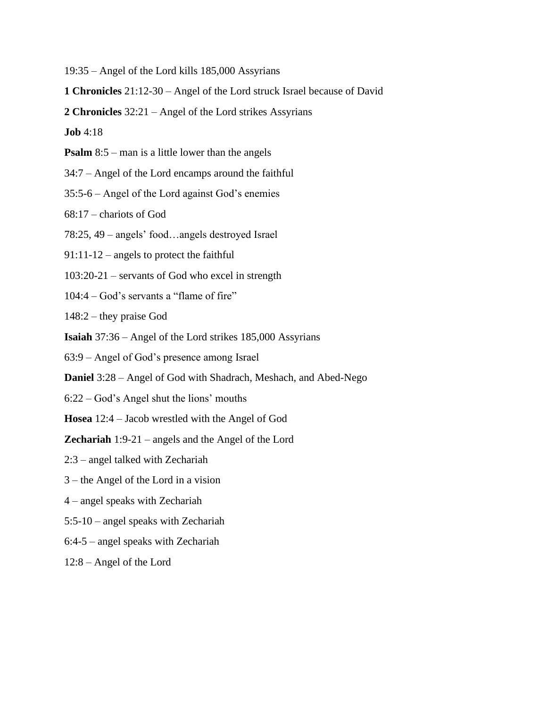19:35 – Angel of the Lord kills 185,000 Assyrians

**1 Chronicles** 21:12-30 – Angel of the Lord struck Israel because of David

**2 Chronicles** 32:21 – Angel of the Lord strikes Assyrians

**Job** 4:18

**Psalm** 8:5 – man is a little lower than the angels

34:7 – Angel of the Lord encamps around the faithful

35:5-6 – Angel of the Lord against God's enemies

68:17 – chariots of God

78:25, 49 – angels' food…angels destroyed Israel

91:11-12 – angels to protect the faithful

103:20-21 – servants of God who excel in strength

104:4 – God's servants a "flame of fire"

148:2 – they praise God

**Isaiah** 37:36 – Angel of the Lord strikes 185,000 Assyrians

63:9 – Angel of God's presence among Israel

**Daniel** 3:28 – Angel of God with Shadrach, Meshach, and Abed-Nego

6:22 – God's Angel shut the lions' mouths

**Hosea** 12:4 – Jacob wrestled with the Angel of God

**Zechariah** 1:9-21 – angels and the Angel of the Lord

2:3 – angel talked with Zechariah

3 – the Angel of the Lord in a vision

4 – angel speaks with Zechariah

5:5-10 – angel speaks with Zechariah

6:4-5 – angel speaks with Zechariah

12:8 – Angel of the Lord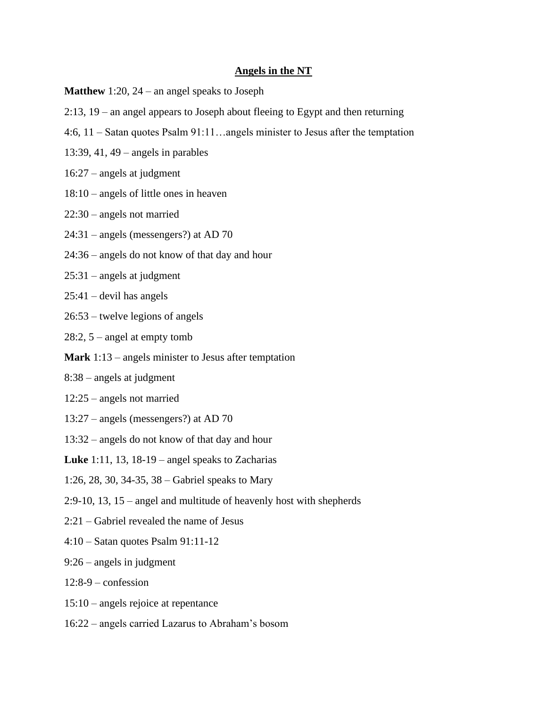### **Angels in the NT**

- **Matthew** 1:20, 24 an angel speaks to Joseph
- 2:13, 19 an angel appears to Joseph about fleeing to Egypt and then returning
- 4:6, 11 Satan quotes Psalm 91:11…angels minister to Jesus after the temptation
- 13:39, 41, 49 angels in parables
- 16:27 angels at judgment
- 18:10 angels of little ones in heaven
- 22:30 angels not married
- 24:31 angels (messengers?) at AD 70
- 24:36 angels do not know of that day and hour
- 25:31 angels at judgment
- $25:41$  devil has angels
- 26:53 twelve legions of angels
- 28:2, 5 angel at empty tomb
- **Mark** 1:13 angels minister to Jesus after temptation
- 8:38 angels at judgment
- 12:25 angels not married
- 13:27 angels (messengers?) at AD 70
- 13:32 angels do not know of that day and hour
- **Luke** 1:11, 13, 18-19 angel speaks to Zacharias
- 1:26, 28, 30, 34-35, 38 Gabriel speaks to Mary
- 2:9-10, 13, 15 angel and multitude of heavenly host with shepherds
- 2:21 Gabriel revealed the name of Jesus
- 4:10 Satan quotes Psalm 91:11-12
- 9:26 angels in judgment
- $12:8-9$  confession
- 15:10 angels rejoice at repentance
- 16:22 angels carried Lazarus to Abraham's bosom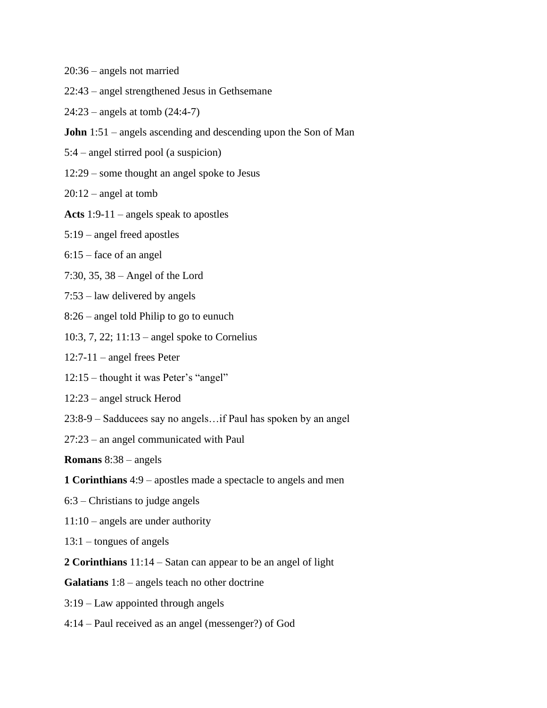- 20:36 angels not married
- 22:43 angel strengthened Jesus in Gethsemane
- 24:23 angels at tomb (24:4-7)
- **John** 1:51 angels ascending and descending upon the Son of Man
- 5:4 angel stirred pool (a suspicion)
- 12:29 some thought an angel spoke to Jesus
- $20:12$  angel at tomb
- **Acts** 1:9-11 angels speak to apostles
- 5:19 angel freed apostles
- 6:15 face of an angel
- 7:30, 35, 38 Angel of the Lord
- 7:53 law delivered by angels
- 8:26 angel told Philip to go to eunuch
- 10:3, 7, 22; 11:13 angel spoke to Cornelius
- 12:7-11 angel frees Peter
- 12:15 thought it was Peter's "angel"
- 12:23 angel struck Herod
- 23:8-9 Sadducees say no angels…if Paul has spoken by an angel
- 27:23 an angel communicated with Paul

**Romans** 8:38 – angels

- **1 Corinthians** 4:9 apostles made a spectacle to angels and men
- 6:3 Christians to judge angels
- 11:10 angels are under authority
- 13:1 tongues of angels
- **2 Corinthians** 11:14 Satan can appear to be an angel of light
- **Galatians** 1:8 angels teach no other doctrine
- 3:19 Law appointed through angels
- 4:14 Paul received as an angel (messenger?) of God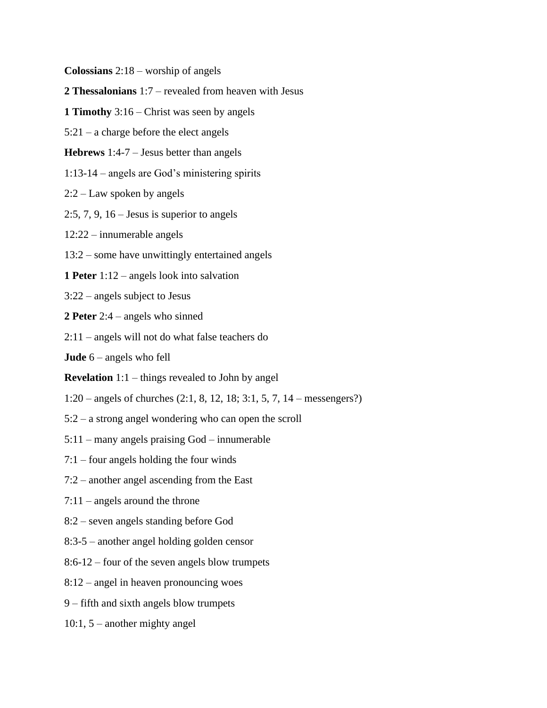**Colossians** 2:18 – worship of angels

**2 Thessalonians** 1:7 – revealed from heaven with Jesus

**1 Timothy** 3:16 – Christ was seen by angels

5:21 – a charge before the elect angels

**Hebrews** 1:4-7 – Jesus better than angels

1:13-14 – angels are God's ministering spirits

2:2 – Law spoken by angels

2:5, 7, 9, 16 – Jesus is superior to angels

12:22 – innumerable angels

13:2 – some have unwittingly entertained angels

**1 Peter** 1:12 – angels look into salvation

3:22 – angels subject to Jesus

**2 Peter** 2:4 – angels who sinned

2:11 – angels will not do what false teachers do

**Jude** 6 – angels who fell

**Revelation** 1:1 – things revealed to John by angel

1:20 – angels of churches (2:1, 8, 12, 18; 3:1, 5, 7, 14 – messengers?)

5:2 – a strong angel wondering who can open the scroll

5:11 – many angels praising God – innumerable

7:1 – four angels holding the four winds

7:2 – another angel ascending from the East

7:11 – angels around the throne

8:2 – seven angels standing before God

8:3-5 – another angel holding golden censor

8:6-12 – four of the seven angels blow trumpets

8:12 – angel in heaven pronouncing woes

9 – fifth and sixth angels blow trumpets

10:1, 5 – another mighty angel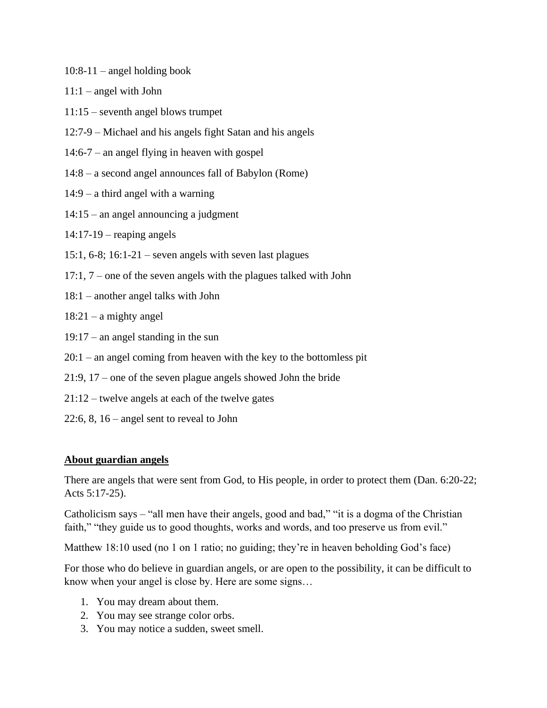- 10:8-11 angel holding book
- $11:1$  angel with John
- 11:15 seventh angel blows trumpet
- 12:7-9 Michael and his angels fight Satan and his angels
- 14:6-7 an angel flying in heaven with gospel
- 14:8 a second angel announces fall of Babylon (Rome)
- 14:9 a third angel with a warning
- 14:15 an angel announcing a judgment
- 14:17-19 reaping angels
- 15:1, 6-8; 16:1-21 seven angels with seven last plagues
- 17:1, 7 one of the seven angels with the plagues talked with John
- 18:1 another angel talks with John
- $18:21 a$  mighty angel
- 19:17 an angel standing in the sun
- 20:1 an angel coming from heaven with the key to the bottomless pit
- 21:9, 17 one of the seven plague angels showed John the bride
- 21:12 twelve angels at each of the twelve gates
- 22:6, 8, 16 angel sent to reveal to John

## **About guardian angels**

There are angels that were sent from God, to His people, in order to protect them (Dan. 6:20-22; Acts 5:17-25).

Catholicism says – "all men have their angels, good and bad," "it is a dogma of the Christian faith," "they guide us to good thoughts, works and words, and too preserve us from evil."

Matthew 18:10 used (no 1 on 1 ratio; no guiding; they're in heaven beholding God's face)

For those who do believe in guardian angels, or are open to the possibility, it can be difficult to know when your angel is close by. Here are some signs…

- 1. You may dream about them.
- 2. You may see strange color orbs.
- 3. You may notice a sudden, sweet smell.